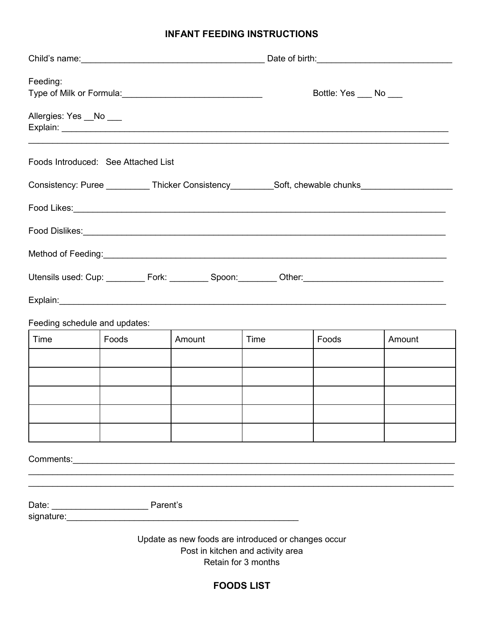## **INFANT FEEDING INSTRUCTIONS**

| Feeding:              |                                     |                                                                                                                                                                                                  |                                                          | Bottle: Yes ___ No ___                                                                              |                                                                                                     |  |
|-----------------------|-------------------------------------|--------------------------------------------------------------------------------------------------------------------------------------------------------------------------------------------------|----------------------------------------------------------|-----------------------------------------------------------------------------------------------------|-----------------------------------------------------------------------------------------------------|--|
| Allergies: Yes _No __ |                                     |                                                                                                                                                                                                  |                                                          |                                                                                                     |                                                                                                     |  |
|                       | Foods Introduced: See Attached List |                                                                                                                                                                                                  |                                                          |                                                                                                     |                                                                                                     |  |
|                       |                                     |                                                                                                                                                                                                  |                                                          | Consistency: Puree ___________Thicker Consistency__________Soft, chewable chunks___________________ |                                                                                                     |  |
|                       |                                     |                                                                                                                                                                                                  |                                                          |                                                                                                     |                                                                                                     |  |
|                       |                                     |                                                                                                                                                                                                  |                                                          |                                                                                                     |                                                                                                     |  |
|                       |                                     |                                                                                                                                                                                                  |                                                          |                                                                                                     |                                                                                                     |  |
|                       |                                     |                                                                                                                                                                                                  |                                                          |                                                                                                     | Utensils used: Cup: _________ Fork: ________ Spoon: ________ Other: _______________________________ |  |
|                       |                                     |                                                                                                                                                                                                  |                                                          |                                                                                                     |                                                                                                     |  |
|                       | Feeding schedule and updates:       |                                                                                                                                                                                                  |                                                          |                                                                                                     |                                                                                                     |  |
| Time                  | Foods                               | Amount                                                                                                                                                                                           | Time                                                     | Foods                                                                                               | Amount                                                                                              |  |
|                       |                                     |                                                                                                                                                                                                  |                                                          |                                                                                                     |                                                                                                     |  |
|                       |                                     |                                                                                                                                                                                                  |                                                          |                                                                                                     |                                                                                                     |  |
|                       |                                     |                                                                                                                                                                                                  |                                                          |                                                                                                     |                                                                                                     |  |
|                       |                                     |                                                                                                                                                                                                  |                                                          |                                                                                                     |                                                                                                     |  |
|                       |                                     | <b>Comments: Comments: Comments: Comments: Comments: Comments: Comments: Comments: Comments: Comments: Comments: Comments: Comments: Comments: Comments: Comments: Comments: Comments: Comme</b> |                                                          |                                                                                                     |                                                                                                     |  |
|                       |                                     |                                                                                                                                                                                                  |                                                          |                                                                                                     |                                                                                                     |  |
|                       |                                     | signature: www.asignature.com                                                                                                                                                                    |                                                          |                                                                                                     |                                                                                                     |  |
|                       |                                     | Update as new foods are introduced or changes occur                                                                                                                                              | Post in kitchen and activity area<br>Retain for 3 months |                                                                                                     |                                                                                                     |  |

**FOODS LIST**